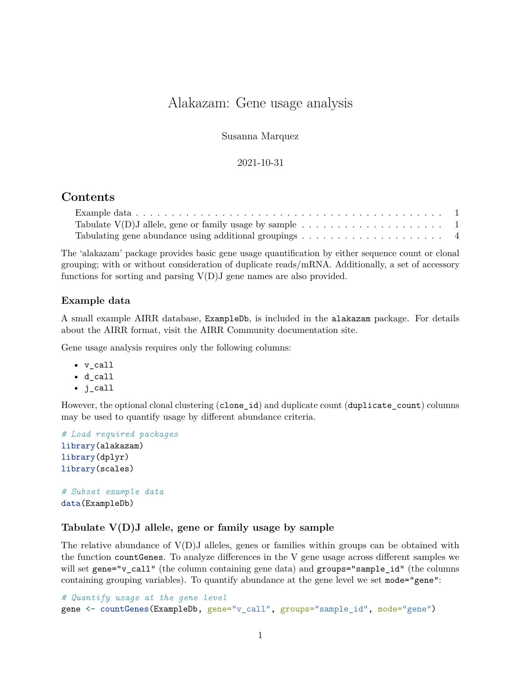# Alakazam: Gene usage analysis

Susanna Marquez

#### 2021-10-31

## **Contents**

| Tabulate $V(D)J$ allele, gene or family usage by sample $\dots \dots \dots \dots \dots \dots \dots \dots$ |  |  |  |  |  |  |  |  |
|-----------------------------------------------------------------------------------------------------------|--|--|--|--|--|--|--|--|
| Tabulating gene abundance using additional groupings $\dots \dots \dots \dots \dots \dots \dots$          |  |  |  |  |  |  |  |  |

The 'alakazam' package provides basic gene usage quantification by either sequence count or clonal grouping; with or without consideration of duplicate reads/mRNA. Additionally, a set of accessory functions for sorting and parsing  $V(D)J$  gene names are also provided.

#### <span id="page-0-0"></span>**Example data**

A small example AIRR database, ExampleDb, is included in the alakazam package. For details about the AIRR format, visit the [AIRR Community documentation site.](https://docs.airr-community.org/en/stable/datarep/rearrangements.html)

Gene usage analysis requires only the following columns:

- v\_call
- d\_call
- j\_call

However, the optional clonal clustering (clone \_id) and duplicate count (duplicate count) columns may be used to quantify usage by different abundance criteria.

```
# Load required packages
library(alakazam)
library(dplyr)
library(scales)
# Subset example data
```

```
data(ExampleDb)
```
#### <span id="page-0-1"></span>**Tabulate V(D)J allele, gene or family usage by sample**

The relative abundance of  $V(D)J$  alleles, genes or families within groups can be obtained with the function countGenes. To analyze differences in the V gene usage across different samples we will set gene="v\_call" (the column containing gene data) and groups="sample\_id" (the columns containing grouping variables). To quantify abundance at the gene level we set mode="gene":

```
# Quantify usage at the gene level
gene <- countGenes(ExampleDb, gene="v_call", groups="sample_id", mode="gene")
```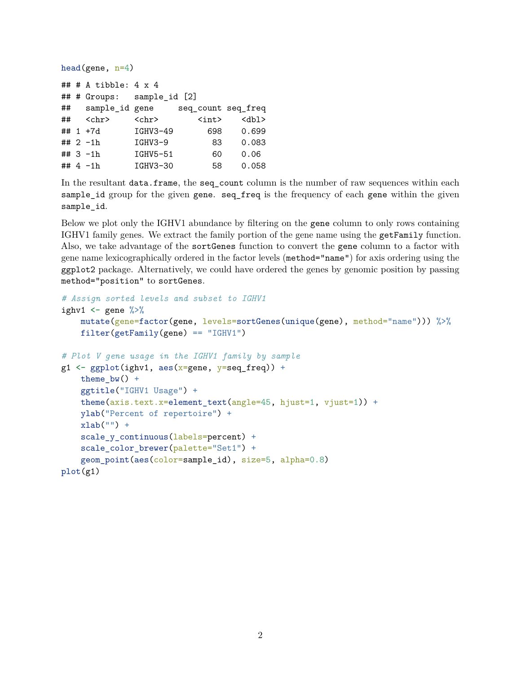```
head(gene, n=4)
## # A tibble: 4 x 4
## # Groups: sample_id [2]
## sample_id gene seq_count seq_freq
## <chr> <chr> <int> <dbl>
## 1 +7d IGHV3-49 698 0.699
## 2 -1h IGHV3-9 83 0.083
## 3 -1h IGHV5-51 60 0.06
## 4 -1h IGHV3-30 58 0.058
```
In the resultant data.frame, the seq\_count column is the number of raw sequences within each sample id group for the given gene. seq\_freq is the frequency of each gene within the given sample\_id.

Below we plot only the IGHV1 abundance by filtering on the gene column to only rows containing IGHV1 family genes. We extract the family portion of the gene name using the getFamily function. Also, we take advantage of the sortGenes function to convert the gene column to a factor with gene name lexicographically ordered in the factor levels (method="name") for axis ordering using the ggplot2 package. Alternatively, we could have ordered the genes by genomic position by passing method="position" to sortGenes.

```
# Assign sorted levels and subset to IGHV1
ighv1 \leq gene \frac{9}{2}mutate(gene=factor(gene, levels=sortGenes(unique(gene), method="name"))) %>%
    filter(getFamily(gene) == "IGHV1")# Plot V gene usage in the IGHV1 family by sample
g1 \leftarrow ggplot(ighv1, aes(x=gene, y=seq_freq)) +theme_bw() +ggtitle("IGHV1 Usage") +
    theme(axis.text.x=element_text(angle=45, hjust=1, vjust=1)) +
    ylab("Percent of repertoire") +
    xlab("") +scale_y_continuous(labels=percent) +
    scale_color_brewer(palette="Set1") +
    geom_point(aes(color=sample_id), size=5, alpha=0.8)
plot(g1)
```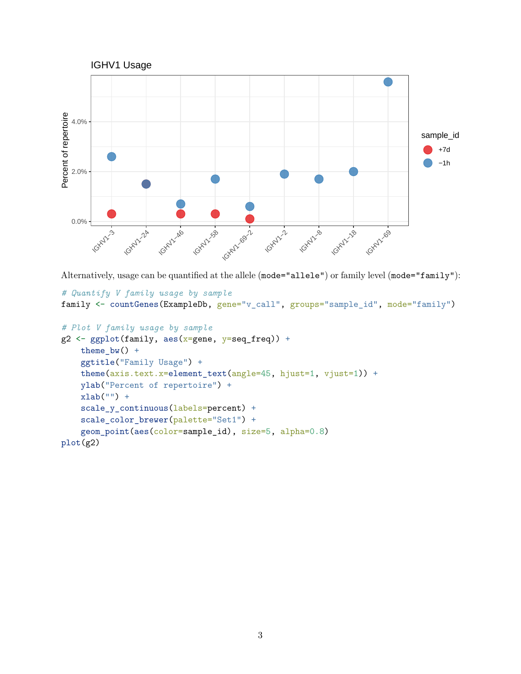

Alternatively, usage can be quantified at the allele (mode="allele") or family level (mode="family"):

```
# Quantify V family usage by sample
family <- countGenes(ExampleDb, gene="v_call", groups="sample_id", mode="family")
# Plot V family usage by sample
g2 \leftarrow ggplot(family, aes(x=gene, y=seq\_freq)) +theme_bw() +ggtitle("Family Usage") +
    theme(axis.text.x=element_text(angle=45, hjust=1, vjust=1)) +
    ylab("Percent of repertoire") +
   xlab("") +
```

```
scale_y_continuous(labels=percent) +
    scale_color_brewer(palette="Set1") +
    geom_point(aes(color=sample_id), size=5, alpha=0.8)
plot(g2)
```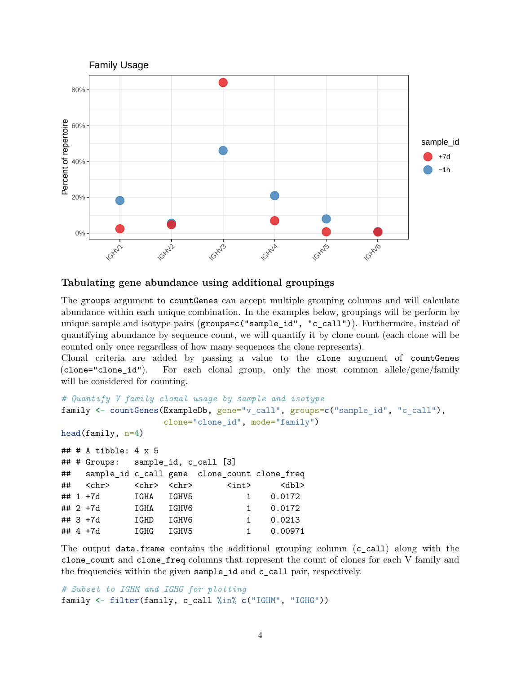

### <span id="page-3-0"></span>**Tabulating gene abundance using additional groupings**

The groups argument to countGenes can accept multiple grouping columns and will calculate abundance within each unique combination. In the examples below, groupings will be perform by unique sample and isotype pairs (groups=c("sample\_id", "c\_call")). Furthermore, instead of quantifying abundance by sequence count, we will quantify it by clone count (each clone will be counted only once regardless of how many sequences the clone represents).

Clonal criteria are added by passing a value to the clone argument of countGenes (clone="clone\_id"). For each clonal group, only the most common allele/gene/family will be considered for counting.

```
# Quantify V family clonal usage by sample and isotype
family <- countGenes(ExampleDb, gene="v_call", groups=c("sample_id", "c_call"),
                 clone="clone_id", mode="family")
head(family, n=4)
## # A tibble: 4 x 5
## # Groups: sample_id, c_call [3]
## sample_id c_call gene clone_count clone_freq
## <chr> <chr> <chr> <int> <dbl>
## 1 +7d IGHA IGHV5 1 0.0172
## 2 +7d IGHA IGHV6 1 0.0172
## 3 +7d IGHD IGHV6 1 0.0213
## 4 +7d IGHG IGHV5 1 0.00971
```
The output data.frame contains the additional grouping column (c\_call) along with the clone\_count and clone\_freq columns that represent the count of clones for each V family and the frequencies within the given sample\_id and c\_call pair, respectively.

```
# Subset to IGHM and IGHG for plotting
family <- filter(family, c_call %in% c("IGHM", "IGHG"))
```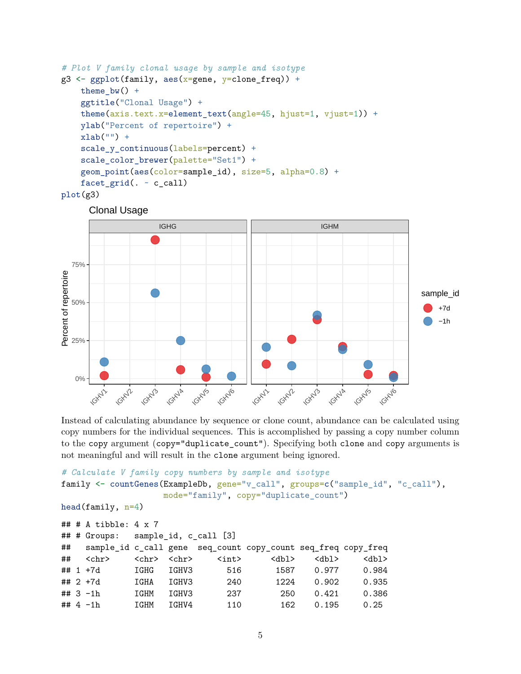```
# Plot V family clonal usage by sample and isotype
g3 \leq gggplot(family, aes(x=gene, y=clone_freq)) +
    theme_bw() +
    ggtitle("Clonal Usage") +
    theme(axis.text.x=element text(angle=45, hjust=1, vjust=1)) +
    ylab("Percent of repertoire") +
    xlab("") +
    scale_y_continuous(labels=percent) +
    scale_color_brewer(palette="Set1") +
    geom_point(aes(color=sample_id), size=5, alpha=0.8) +
    facet_grid(. ~ ~ c_call)
```

```
plot(g3)
```




Instead of calculating abundance by sequence or clone count, abundance can be calculated using copy numbers for the individual sequences. This is accomplished by passing a copy number column to the copy argument (copy="duplicate\_count"). Specifying both clone and copy arguments is not meaningful and will result in the clone argument being ignored.

```
# Calculate V family copy numbers by sample and isotype
family <- countGenes(ExampleDb, gene="v_call", groups=c("sample_id", "c_call"),
                mode="family", copy="duplicate_count")
head(family, n=4)
## # A tibble: 4 x 7
## # Groups: sample_id, c_call [3]
## sample_id c_call gene seq_count copy_count seq_freq copy_freq
## <chr> <chr> <chr> <int> <dbl> <dbl> <dbl>
## 1 +7d IGHG IGHV3 516 1587 0.977 0.984
## 2 +7d IGHA IGHV3 240 1224 0.902 0.935
## 3 -1h IGHM IGHV3 237 250 0.421 0.386
## 4 -1h IGHM IGHV4 110 162 0.195 0.25
```